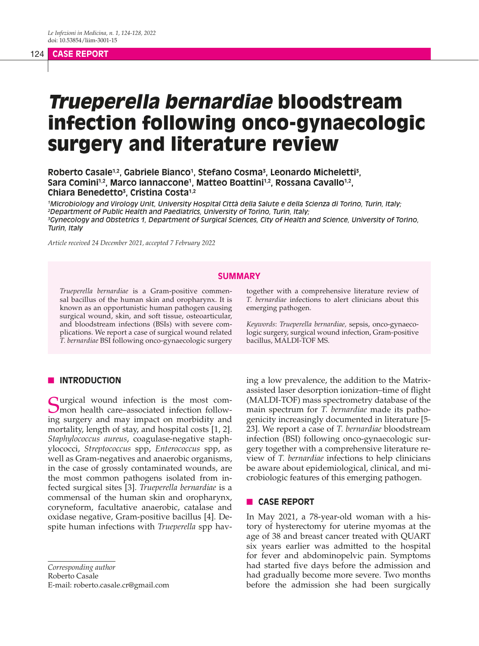## 124 **CASE REPORT**

# Trueperella bernardiae bloodstream infection following onco-gynaecologic surgery and literature review

**Roberto Casale1,2, Gabriele Bianco1 , Stefano Cosma3 , Leonardo Micheletti3 ,**  Sara Comini<sup>1,2</sup>, Marco Iannaccone<sup>1</sup>, Matteo Boattini<sup>1,2</sup>, Rossana Cavallo<sup>1,2</sup>, **Chiara Benedetto3 , Cristina Costa1,2**

 *Microbiology and Virology Unit, University Hospital Città della Salute e della Scienza di Torino, Turin, Italy; Department of Public Health and Paediatrics, University of Torino, Turin, Italy; Gynecology and Obstetrics 1, Department of Surgical Sciences, City of Health and Science, University of Torino, Turin, Italy*

*Article received 24 December 2021, accepted 7 February 2022*

#### **SUMMARY**

*Trueperella bernardiae* is a Gram-positive commensal bacillus of the human skin and oropharynx. It is known as an opportunistic human pathogen causing surgical wound, skin, and soft tissue, osteoarticular, and bloodstream infections (BSIs) with severe complications. We report a case of surgical wound related *T. bernardiae* BSI following onco-gynaecologic surgery

# **I** INTRODUCTION

Curgical wound infection is the most common health care–associated infection following surgery and may impact on morbidity and mortality, length of stay, and hospital costs [1, 2]. *Staphylococcus aureus*, coagulase-negative staphylococci, *Streptococcus* spp, *Enterococcus* spp, as well as Gram-negatives and anaerobic organisms, in the case of grossly contaminated wounds, are the most common pathogens isolated from infected surgical sites [3]. *Trueperella bernardiae* is a commensal of the human skin and oropharynx, coryneform, facultative anaerobic, catalase and oxidase negative, Gram-positive bacillus [4]. Despite human infections with *Trueperella* spp hav-

*Corresponding author* Roberto Casale E-mail: roberto.casale.cr@gmail.com together with a comprehensive literature review of *T. bernardiae* infections to alert clinicians about this emerging pathogen.

*Keywords*: *Trueperella bernardiae,* sepsis, onco-gynaecologic surgery, surgical wound infection, Gram-positive bacillus, MALDI-TOF MS.

ing a low prevalence, the addition to the Matrixassisted laser desorption ionization–time of flight (MALDI-TOF) mass spectrometry database of the main spectrum for *T. bernardiae* made its pathogenicity increasingly documented in literature [5- 23]. We report a case of *T. bernardiae* bloodstream infection (BSI) following onco-gynaecologic surgery together with a comprehensive literature review of *T. bernardiae* infections to help clinicians be aware about epidemiological, clinical, and microbiologic features of this emerging pathogen.

### **n** CASE REPORT

In May 2021, a 78-year-old woman with a history of hysterectomy for uterine myomas at the age of 38 and breast cancer treated with QUART six years earlier was admitted to the hospital for fever and abdominopelvic pain. Symptoms had started five days before the admission and had gradually become more severe. Two months before the admission she had been surgically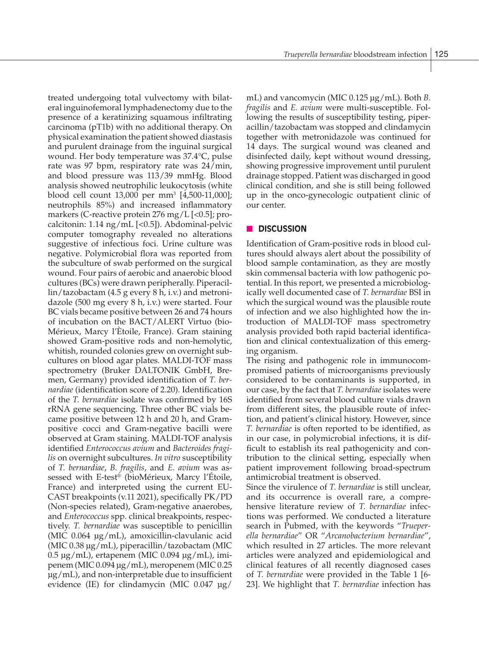treated undergoing total vulvectomy with bilateral inguinofemoral lymphadenectomy due to the presence of a keratinizing squamous infiltrating carcinoma (pT1b) with no additional therapy. On physical examination the patient showed diastasis and purulent drainage from the inguinal surgical wound. Her body temperature was 37.4°C, pulse rate was 97 bpm, respiratory rate was 24/min, and blood pressure was 113/39 mmHg. Blood analysis showed neutrophilic leukocytosis (white blood cell count 13,000 per mm3 [4,500-11,000]; neutrophils 85%) and increased inflammatory markers (C-reactive protein  $276 \text{ mg/L}$  [<0.5]; procalcitonin: 1.14 ng/mL [<0.5]). Abdominal-pelvic computer tomography revealed no alterations suggestive of infectious foci. Urine culture was negative. Polymicrobial flora was reported from the subculture of swab performed on the surgical wound. Four pairs of aerobic and anaerobic blood cultures (BCs) were drawn peripherally. Piperacillin/tazobactam (4.5 g every 8 h, i.v.) and metronidazole (500 mg every 8 h, i.v.) were started. Four BC vials became positive between 26 and 74 hours of incubation on the BACT/ALERT Virtuo (bio-Mérieux, Marcy l'Ètoile, France). Gram staining showed Gram-positive rods and non-hemolytic, whitish, rounded colonies grew on overnight subcultures on blood agar plates. MALDI-TOF mass spectrometry (Bruker DALTONIK GmbH, Bremen, Germany) provided identification of *T. bernardiae* (identification score of 2.20). Identification of the *T. bernardiae* isolate was confirmed by 16S rRNA gene sequencing. Three other BC vials became positive between 12 h and 20 h, and Grampositive cocci and Gram-negative bacilli were observed at Gram staining. MALDI-TOF analysis identified *Enterococcus avium* and *Bacteroides fragilis* on overnight subcultures. *In vitro* susceptibility of *T. bernardiae*, *B. fragilis*, and *E. avium* was assessed with E-test® (bioMérieux, Marcy l'Étoile, France) and interpreted using the current EU-CAST breakpoints (v.11 2021), specifically PK/PD (Non-species related), Gram-negative anaerobes, and *Enterococcus* spp. clinical breakpoints, respectively. *T. bernardiae* was susceptible to penicillin (MIC 0.064 µg/mL), amoxicillin-clavulanic acid (MIC 0.38 µg/mL), piperacillin/tazobactam (MIC 0.5 µg/mL), ertapenem (MIC 0.094 µg/mL), imipenem (MIC 0.094 µg/mL), meropenem (MIC 0.25 µg/mL), and non-interpretable due to insufficient evidence (IE) for clindamycin (MIC  $0.047 \text{ µg}$ /

mL) and vancomycin (MIC 0.125 µg/mL). Both *B. fragilis* and *E. avium* were multi-susceptible. Following the results of susceptibility testing, piperacillin/tazobactam was stopped and clindamycin together with metronidazole was continued for 14 days. The surgical wound was cleaned and disinfected daily, kept without wound dressing, showing progressive improvement until purulent drainage stopped. Patient was discharged in good clinical condition, and she is still being followed up in the onco-gynecologic outpatient clinic of our center.

## **n** DISCUSSION

Identification of Gram-positive rods in blood cultures should always alert about the possibility of blood sample contamination, as they are mostly skin commensal bacteria with low pathogenic potential. In this report, we presented a microbiologically well documented case of *T. bernardiae* BSI in which the surgical wound was the plausible route of infection and we also highlighted how the introduction of MALDI-TOF mass spectrometry analysis provided both rapid bacterial identification and clinical contextualization of this emerging organism.

The rising and pathogenic role in immunocompromised patients of microorganisms previously considered to be contaminants is supported, in our case, by the fact that *T. bernardiae* isolates were identified from several blood culture vials drawn from different sites, the plausible route of infection, and patient's clinical history. However, since *T. bernardiae* is often reported to be identified, as in our case, in polymicrobial infections, it is difficult to establish its real pathogenicity and contribution to the clinical setting, especially when patient improvement following broad-spectrum antimicrobial treatment is observed.

Since the virulence of *T. bernardiae* is still unclear, and its occurrence is overall rare, a comprehensive literature review of *T. bernardiae* infections was performed. We conducted a literature search in Pubmed, with the keywords "*Trueperella bernardiae*" OR "*Arcanobacterium bernardiae*", which resulted in 27 articles. The more relevant articles were analyzed and epidemiological and clinical features of all recently diagnosed cases of *T. bernardiae* were provided in the Table 1 [6- 23]. We highlight that *T. bernardiae* infection has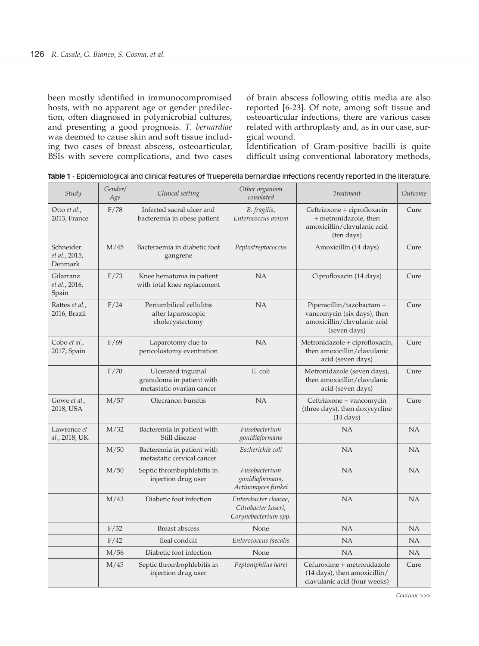been mostly identified in immunocompromised hosts, with no apparent age or gender predilection, often diagnosed in polymicrobial cultures, and presenting a good prognosis. *T. bernardiae* was deemed to cause skin and soft tissue including two cases of breast abscess, osteoarticular, BSIs with severe complications, and two cases of brain abscess following otitis media are also reported [6-23]. Of note, among soft tissue and osteoarticular infections, there are various cases related with arthroplasty and, as in our case, surgical wound.

Identification of Gram-positive bacilli is quite difficult using conventional laboratory methods,

| Study                                 | Gender/<br>Age | Clinical setting                                                             | Other organism<br>coisolated                                         | Treatment                                                                                               | Outcome   |
|---------------------------------------|----------------|------------------------------------------------------------------------------|----------------------------------------------------------------------|---------------------------------------------------------------------------------------------------------|-----------|
| Otto et al.,<br>2013, France          | F/78           | Infected sacral ulcer and<br>bacteremia in obese patient                     | B. fragilis,<br>Enterococcus avium                                   | Ceftriaxone + ciprofloxacin<br>+ metronidazole, then<br>amoxicillin/clavulanic acid<br>(ten days)       | Cure      |
| Schneider<br>et al., 2015,<br>Denmark | M/45           | Bacteraemia in diabetic foot<br>gangrene                                     | Peptostreptococcus                                                   | Amoxicillin (14 days)                                                                                   | Cure      |
| Gilarranz<br>et al., 2016,<br>Spain   | F/73           | Knee hematoma in patient<br>with total knee replacement                      | <b>NA</b>                                                            | Ciprofloxacin (14 days)                                                                                 | Cure      |
| Rattes et al.,<br>2016, Brazil        | F/24           | Periumbilical cellulitis<br>after laparoscopic<br>cholecystectomy            | <b>NA</b>                                                            | Piperacillin/tazobactam +<br>vancomycin (six days), then<br>amoxicillin/clavulanic acid<br>(seven days) | Cure      |
| Cobo et al.,<br>2017, Spain           | F/69           | Laparotomy due to<br>pericolostomy eventration                               | <b>NA</b>                                                            | Metronidazole + ciprofloxacin,<br>then amoxicillin/clavulanic<br>acid (seven days)                      | Cure      |
|                                       | F/70           | Ulcerated inguinal<br>granuloma in patient with<br>metastatic ovarian cancer | E. coli                                                              | Metronidazole (seven days),<br>then amoxicillin/clavulanic<br>acid (seven days)                         | Cure      |
| Gowe et al.,<br>2018, USA             | M/57           | Olecranon bursitis                                                           | <b>NA</b>                                                            | Ceftriaxone + vancomycin<br>(three days), then doxycycline<br>$(14 \text{ days})$                       | Cure      |
| Lawrence et<br>al., 2018, UK          | M/32           | Bacteremia in patient with<br>Still disease                                  | Fusobacterium<br>gonidiaformans                                      | <b>NA</b>                                                                                               | <b>NA</b> |
|                                       | M/50           | Bacteremia in patient with<br>metastatic cervical cancer                     | Escherichia coli                                                     | <b>NA</b>                                                                                               | NA        |
|                                       | M/50           | Septic thrombophlebitis in<br>injection drug user                            | Fusobacterium<br>gonidiaformans,<br>Actinomyces funkei               | <b>NA</b>                                                                                               | NA        |
|                                       | M/43           | Diabetic foot infection                                                      | Enterobacter cloacae,<br>Citrobacter koseri,<br>Corynebacterium spp. | <b>NA</b>                                                                                               | NA        |
|                                       | F/32           | <b>Breast abscess</b>                                                        | None                                                                 | <b>NA</b>                                                                                               | <b>NA</b> |
|                                       | F/42           | Ileal conduit                                                                | Enterococcus faecalis                                                | <b>NA</b>                                                                                               | <b>NA</b> |
|                                       | M/56           | Diabetic foot infection                                                      | None                                                                 | NA                                                                                                      | NA        |
|                                       | M/45           | Septic thrombophlebitis in<br>injection drug user                            | Peptoniphilus harei                                                  | Cefuroxime + metronidazole<br>$(14 \text{ days})$ , then amoxicillin/<br>clavulanic acid (four weeks)   | Cure      |

|  | Table 1 - Epidemiological and clinical features of Trueperella bernardiae infections recently reported in the literature. |  |  |  |  |  |
|--|---------------------------------------------------------------------------------------------------------------------------|--|--|--|--|--|
|--|---------------------------------------------------------------------------------------------------------------------------|--|--|--|--|--|

*Continue >>>*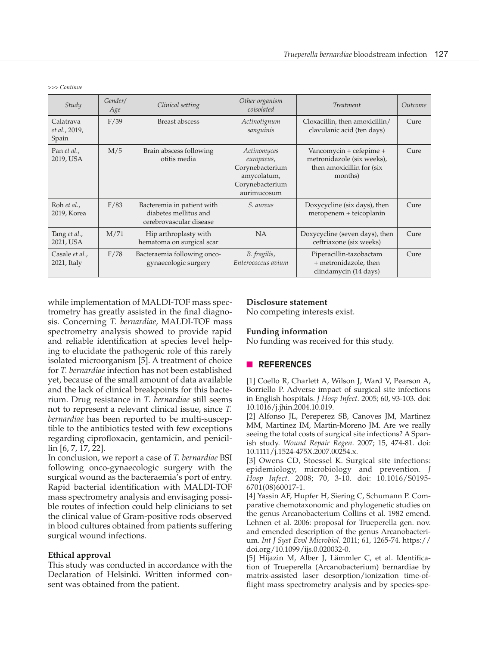*>>> Continue*

| Study                                 | Gender/<br>Age | Clinical setting                                                               | Other organism<br>coisolated                                                                  | <b>Treatment</b>                                                                              | Outcome |
|---------------------------------------|----------------|--------------------------------------------------------------------------------|-----------------------------------------------------------------------------------------------|-----------------------------------------------------------------------------------------------|---------|
| Calatrava<br>et al., 2019,<br>Spain   | F/39           | Breast abscess                                                                 | Actinotignum<br>sanguinis                                                                     | Cloxacillin, then amoxicillin/<br>clavulanic acid (ten days)                                  | Cure    |
| Pan <i>et al.</i> ,<br>2019, USA      | M/5            | Brain abscess following<br>otitis media                                        | Actinomyces<br>europaeus,<br>Corynebacterium<br>amycolatum,<br>Corynebacterium<br>aurimucosum | Vancomycin + cefepime +<br>metronidazole (six weeks),<br>then amoxicillin for (six<br>months) | Cure    |
| Roh et al.,<br>2019, Korea            | F/83           | Bacteremia in patient with<br>diabetes mellitus and<br>cerebrovascular disease | S. aureus                                                                                     | Doxycycline (six days), then<br>meropenem + teicoplanin                                       | Cure    |
| Tang et al.,<br>2021, USA             | M/71           | Hip arthroplasty with<br>hematoma on surgical scar                             | <b>NA</b>                                                                                     | Doxycycline (seven days), then<br>ceftriaxone (six weeks)                                     | Cure    |
| Casale <i>et al.</i> ,<br>2021, Italy | F/78           | Bacteraemia following onco-<br>gynaecologic surgery                            | B. fragilis,<br>Enterococcus avium                                                            | Piperacillin-tazobactam<br>+ metronidazole, then<br>clindamycin (14 days)                     | Cure    |

while implementation of MALDI-TOF mass spectrometry has greatly assisted in the final diagnosis. Concerning *T. bernardiae*, MALDI-TOF mass spectrometry analysis showed to provide rapid and reliable identification at species level helping to elucidate the pathogenic role of this rarely isolated microorganism [5]. A treatment of choice for *T. bernardiae* infection has not been established yet, because of the small amount of data available and the lack of clinical breakpoints for this bacterium. Drug resistance in *T. bernardiae* still seems not to represent a relevant clinical issue, since *T. bernardiae* has been reported to be multi-susceptible to the antibiotics tested with few exceptions regarding ciprofloxacin, gentamicin, and penicillin [6, 7, 17, 22].

In conclusion, we report a case of *T. bernardiae* BSI following onco-gynaecologic surgery with the surgical wound as the bacteraemia's port of entry. Rapid bacterial identification with MALDI-TOF mass spectrometry analysis and envisaging possible routes of infection could help clinicians to set the clinical value of Gram-positive rods observed in blood cultures obtained from patients suffering surgical wound infections.

#### **Ethical approval**

This study was conducted in accordance with the Declaration of Helsinki. Written informed consent was obtained from the patient.

#### **Disclosure statement**

No competing interests exist.

#### **Funding information**

No funding was received for this study.

# n **REFERENCES**

[1] Coello R, Charlett A, Wilson J, Ward V, Pearson A, Borriello P. Adverse impact of surgical site infections in English hospitals. *J Hosp Infect*. 2005; 60, 93-103. doi: 10.1016/j.jhin.2004.10.019.

[2] Alfonso JL, Pereperez SB, Canoves JM, Martinez MM, Martinez IM, Martin-Moreno JM. Are we really seeing the total costs of surgical site infections? A Spanish study. *Wound Repair Regen*. 2007; 15, 474-81. doi: 10.1111/j.1524-475X.2007.00254.x.

[3] Owens CD, Stoessel K. Surgical site infections: epidemiology, microbiology and prevention. *J Hosp Infect*. 2008; 70, 3-10. doi: 10.1016/S0195- 6701(08)60017-1.

[4] Yassin AF, Hupfer H, Siering C, Schumann P. Comparative chemotaxonomic and phylogenetic studies on the genus Arcanobacterium Collins et al. 1982 emend. Lehnen et al. 2006: proposal for Trueperella gen. nov. and emended description of the genus Arcanobacterium. *Int J Syst Evol Microbiol.* 2011; 61, 1265-74. https:// doi.org/10.1099/ijs.0.020032-0.

[5] Hijazin M, Alber J, Lämmler C, et al. Identification of Trueperella (Arcanobacterium) bernardiae by matrix-assisted laser desorption/ionization time-offlight mass spectrometry analysis and by species-spe